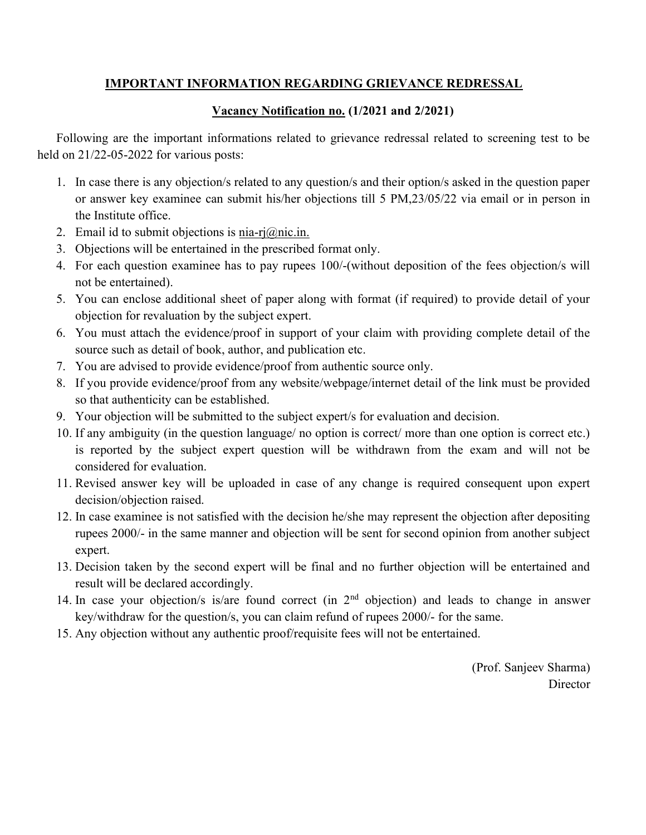# IMPORTANT INFORMATION REGARDING GRIEVANCE REDRESSAL

# Vacancy Notification no. (1/2021 and 2/2021)

Following are the important informations related to grievance redressal related to screening test to be held on 21/22-05-2022 for various posts:

- 1. In case there is any objection/s related to any question/s and their option/s asked in the question paper or answer key examinee can submit his/her objections till 5 PM,23/05/22 via email or in person in the Institute office.
- 2. Email id to submit objections is nia-rj $\partial$ nic.in.
- 3. Objections will be entertained in the prescribed format only.
- 4. For each question examinee has to pay rupees 100/-(without deposition of the fees objection/s will not be entertained).
- 5. You can enclose additional sheet of paper along with format (if required) to provide detail of your objection for revaluation by the subject expert.
- 6. You must attach the evidence/proof in support of your claim with providing complete detail of the source such as detail of book, author, and publication etc.
- 7. You are advised to provide evidence/proof from authentic source only.
- 8. If you provide evidence/proof from any website/webpage/internet detail of the link must be provided so that authenticity can be established.
- 9. Your objection will be submitted to the subject expert/s for evaluation and decision.
- 10. If any ambiguity (in the question language/ no option is correct/ more than one option is correct etc.) is reported by the subject expert question will be withdrawn from the exam and will not be considered for evaluation.
- 11. Revised answer key will be uploaded in case of any change is required consequent upon expert decision/objection raised.
- 12. In case examinee is not satisfied with the decision he/she may represent the objection after depositing rupees 2000/- in the same manner and objection will be sent for second opinion from another subject expert.
- 13. Decision taken by the second expert will be final and no further objection will be entertained and result will be declared accordingly.
- 14. In case your objection/s is/are found correct (in 2<sup>nd</sup> objection) and leads to change in answer key/withdraw for the question/s, you can claim refund of rupees 2000/- for the same.
- 15. Any objection without any authentic proof/requisite fees will not be entertained.

(Prof. Sanjeev Sharma) Director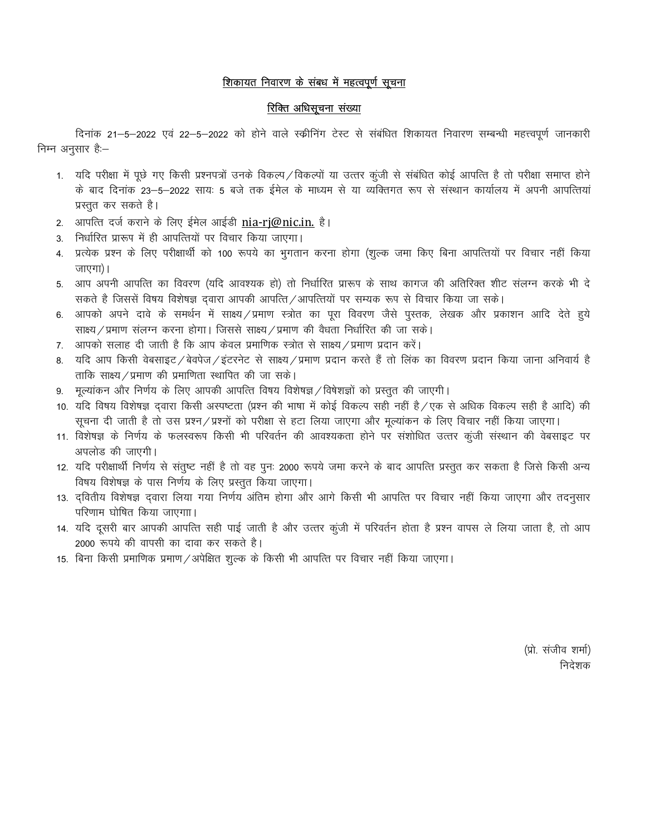### शिकायत निवारण के संबध में महत्वपूर्ण सूचना

#### रिक्ति अधिसूचना संख्या

दिनांक 21-5-2022 एवं 22-5-2022 को होने वाले स्कीनिंग टेस्ट से संबंधित शिकायत निवारण सम्बन्धी महत्त्वपूर्ण जानकारी निम्न अनुसार है:–

- 1. यदि परीक्षा में पूछे गए किसी प्रश्नपत्रों उनके विकल्प/विकल्पों या उत्तर कुंजी से संबंधित कोई आपत्ति है तो परीक्षा समाप्त होने के बाद दिनांक 23–5–2022 सायः 5 बजे तक ईमेल के माध्यम से या व्यक्तिगत रूप से संस्थान कार्यालय में अपनी आपत्तियां प्रस्तुत कर सकते है।
- आपत्ति दर्ज कराने के लिए ईमेल आईडी nia-rj@nic.in. है।  $2.$
- निर्धारित प्रारूप में ही आपत्तियों पर विचार किया जाएगा। 3
- प्रत्येक प्रश्न के लिए परीक्षार्थी को 100 रूपये का भुगतान करना होगा (शुल्क जमा किए बिना आपत्तियों पर विचार नहीं किया  $\overline{4}$ जाएगा)।
- आप अपनी आपत्ति का विवरण (यदि आवश्यक हो) तो निर्धारित प्रारूप के साथ कागज की अतिरिक्त शीट संलग्न करके भी दे 5. सकते है जिससें विषय विशेषज्ञ दवारा आपकी आपत्ति / आपत्तियों पर सम्यक रूप से विचार किया जा सके।
- आपको अपने दावे के समर्थन में साक्ष्य / प्रमाण स्त्रोत का पूरा विवरण जैसे पुस्तक, लेखक और प्रकाशन आदि देते हुये 6. साक्ष्य / प्रमाण संलग्न करना होगा। जिससे साक्ष्य / प्रमाण की वैधता निर्धारित की जा सके।
- आपको सलाह दी जाती है कि आप केवल प्रमाणिक स्त्रोत से साक्ष्य / प्रमाण प्रदान करें। 7.
- यदि आप किसी वेबसाइट/बेवपेज/इंटरनेट से साक्ष्य/प्रमाण प्रदान करते हैं तो लिंक का विवरण प्रदान किया जाना अनिवार्य है 8 ताकि साक्ष्य / प्रमाण की प्रमाणिता स्थापित की जा सके।
- मुल्यांकन और निर्णय के लिए आपकी आपत्ति विषय विशेषज्ञ / विषेशज्ञों को प्रस्तुत की जाएगी। 9
- 10. यदि विषय विशेषज्ञ द्वारा किसी अस्पष्टता (प्रश्न की भाषा में कोई विकल्प सही नहीं है/एक से अधिक विकल्प सही है आदि) की सूचना दी जाती है तो उस प्रश्न/प्रश्नों को परीक्षा से हटा लिया जाएगा और मूल्यांकन के लिए विचार नहीं किया जाएगा।
- 11. विशेषज्ञ के निर्णय के फलस्वरूप किसी भी परिवर्तन की आवश्यकता होने पर संशोधित उत्तर कुंजी संस्थान की वेबसाइट पर अपलोड की जाएगी।
- 12. यदि परीक्षार्थी निर्णय से संतुष्ट नहीं है तो वह पुनः 2000 रूपये जमा करने के बाद आपत्ति प्रस्तुत कर सकता है जिसे किसी अन्य विषय विशेषज्ञ के पास निर्णय के लिए प्रस्तुत किया जाएगा।
- 13. दवितीय विशेषज्ञ दवारा लिया गया निर्णय अंतिम होगा और आगे किसी भी आपत्ति पर विचार नहीं किया जाएगा और तदनुसार परिणाम घोषित किया जाएगाा।
- 14. यदि दूसरी बार आपकी आपत्ति सही पाई जाती है और उत्तर कुंजी में परिवर्तन होता है प्रश्न वापस ले लिया जाता है, तो आप 2000 रूपये की वापसी का दावा कर सकते है।
- 15. बिना किसी प्रमाणिक प्रमाण / अपेक्षित शुल्क के किसी भी आपत्ति पर विचार नहीं किया जाएगा।

(प्रो. संजीव शर्मा) निदेशक